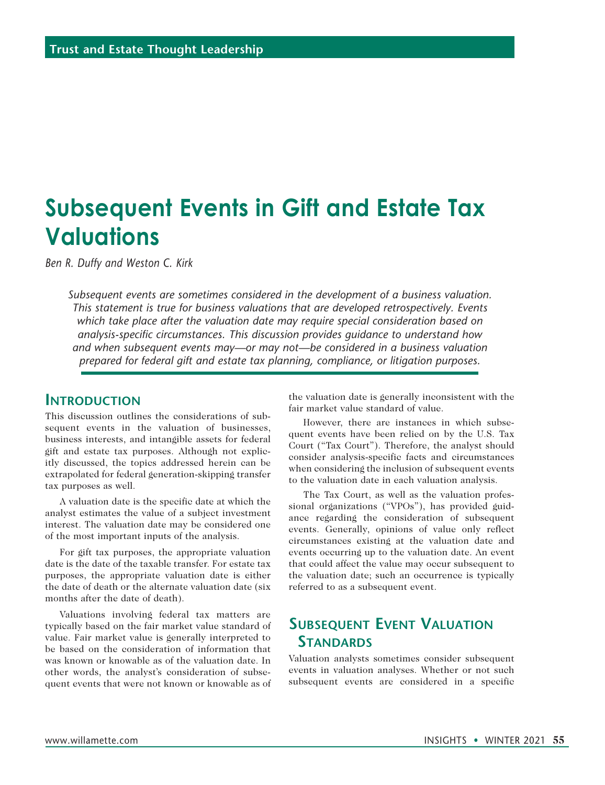# **Subsequent Events in Gift and Estate Tax Valuations**

*Ben R. Duffy and Weston C. Kirk*

*Subsequent events are sometimes considered in the development of a business valuation. This statement is true for business valuations that are developed retrospectively. Events which take place after the valuation date may require special consideration based on analysis-specific circumstances. This discussion provides guidance to understand how and when subsequent events may—or may not—be considered in a business valuation prepared for federal gift and estate tax planning, compliance, or litigation purposes.*

#### **Introduction**

This discussion outlines the considerations of subsequent events in the valuation of businesses, business interests, and intangible assets for federal gift and estate tax purposes. Although not explicitly discussed, the topics addressed herein can be extrapolated for federal generation-skipping transfer tax purposes as well.

A valuation date is the specific date at which the analyst estimates the value of a subject investment interest. The valuation date may be considered one of the most important inputs of the analysis.

For gift tax purposes, the appropriate valuation date is the date of the taxable transfer. For estate tax purposes, the appropriate valuation date is either the date of death or the alternate valuation date (six months after the date of death).

Valuations involving federal tax matters are typically based on the fair market value standard of value. Fair market value is generally interpreted to be based on the consideration of information that was known or knowable as of the valuation date. In other words, the analyst's consideration of subsequent events that were not known or knowable as of

the valuation date is generally inconsistent with the fair market value standard of value.

However, there are instances in which subsequent events have been relied on by the U.S. Tax Court ("Tax Court"). Therefore, the analyst should consider analysis-specific facts and circumstances when considering the inclusion of subsequent events to the valuation date in each valuation analysis.

The Tax Court, as well as the valuation professional organizations ("VPOs"), has provided guidance regarding the consideration of subsequent events. Generally, opinions of value only reflect circumstances existing at the valuation date and events occurring up to the valuation date. An event that could affect the value may occur subsequent to the valuation date; such an occurrence is typically referred to as a subsequent event.

# **Subsequent Event Valuation Standards**

Valuation analysts sometimes consider subsequent events in valuation analyses. Whether or not such subsequent events are considered in a specific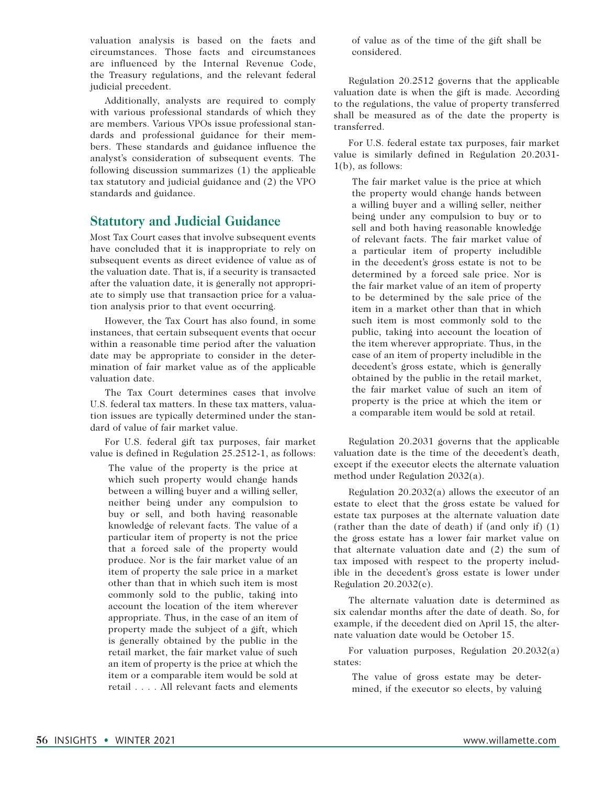valuation analysis is based on the facts and circumstances. Those facts and circumstances are influenced by the Internal Revenue Code, the Treasury regulations, and the relevant federal judicial precedent.

Additionally, analysts are required to comply with various professional standards of which they are members. Various VPOs issue professional standards and professional guidance for their members. These standards and guidance influence the analyst's consideration of subsequent events. The following discussion summarizes (1) the applicable tax statutory and judicial guidance and (2) the VPO standards and guidance.

#### **Statutory and Judicial Guidance**

Most Tax Court cases that involve subsequent events have concluded that it is inappropriate to rely on subsequent events as direct evidence of value as of the valuation date. That is, if a security is transacted after the valuation date, it is generally not appropriate to simply use that transaction price for a valuation analysis prior to that event occurring.

However, the Tax Court has also found, in some instances, that certain subsequent events that occur within a reasonable time period after the valuation date may be appropriate to consider in the determination of fair market value as of the applicable valuation date.

The Tax Court determines cases that involve U.S. federal tax matters. In these tax matters, valuation issues are typically determined under the standard of value of fair market value.

For U.S. federal gift tax purposes, fair market value is defined in Regulation 25.2512-1, as follows:

The value of the property is the price at which such property would change hands between a willing buyer and a willing seller, neither being under any compulsion to buy or sell, and both having reasonable knowledge of relevant facts. The value of a particular item of property is not the price that a forced sale of the property would produce. Nor is the fair market value of an item of property the sale price in a market other than that in which such item is most commonly sold to the public, taking into account the location of the item wherever appropriate. Thus, in the case of an item of property made the subject of a gift, which is generally obtained by the public in the retail market, the fair market value of such an item of property is the price at which the item or a comparable item would be sold at retail . . . . All relevant facts and elements

of value as of the time of the gift shall be considered.

Regulation 20.2512 governs that the applicable valuation date is when the gift is made. According to the regulations, the value of property transferred shall be measured as of the date the property is transferred.

For U.S. federal estate tax purposes, fair market value is similarly defined in Regulation 20.2031- 1(b), as follows:

The fair market value is the price at which the property would change hands between a willing buyer and a willing seller, neither being under any compulsion to buy or to sell and both having reasonable knowledge of relevant facts. The fair market value of a particular item of property includible in the decedent's gross estate is not to be determined by a forced sale price. Nor is the fair market value of an item of property to be determined by the sale price of the item in a market other than that in which such item is most commonly sold to the public, taking into account the location of the item wherever appropriate. Thus, in the case of an item of property includible in the decedent's gross estate, which is generally obtained by the public in the retail market, the fair market value of such an item of property is the price at which the item or a comparable item would be sold at retail.

Regulation 20.2031 governs that the applicable valuation date is the time of the decedent's death, except if the executor elects the alternate valuation method under Regulation 2032(a).

Regulation 20.2032(a) allows the executor of an estate to elect that the gross estate be valued for estate tax purposes at the alternate valuation date (rather than the date of death) if (and only if) (1) the gross estate has a lower fair market value on that alternate valuation date and (2) the sum of tax imposed with respect to the property includible in the decedent's gross estate is lower under Regulation 20.2032(c).

The alternate valuation date is determined as six calendar months after the date of death. So, for example, if the decedent died on April 15, the alternate valuation date would be October 15.

For valuation purposes, Regulation 20.2032(a) states:

The value of gross estate may be determined, if the executor so elects, by valuing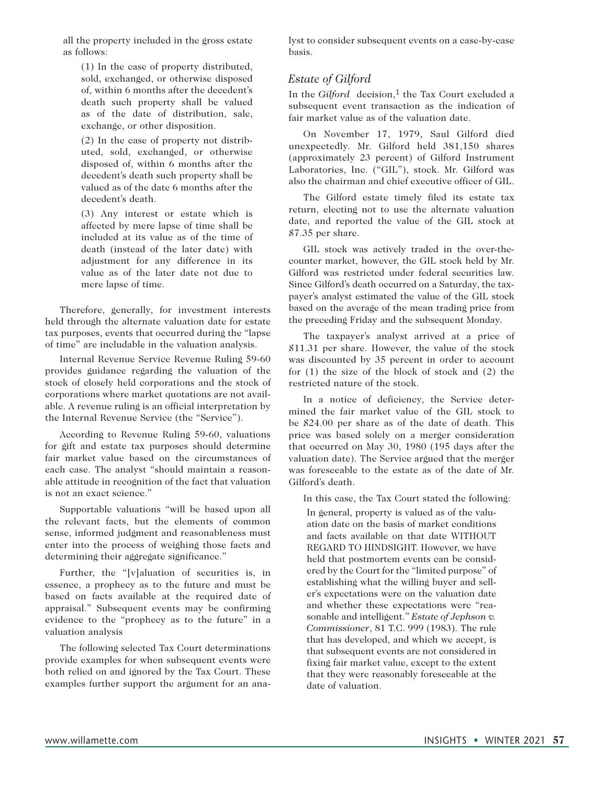all the property included in the gross estate as follows:

(1) In the case of property distributed, sold, exchanged, or otherwise disposed of, within 6 months after the decedent's death such property shall be valued as of the date of distribution, sale, exchange, or other disposition.

(2) In the case of property not distributed, sold, exchanged, or otherwise disposed of, within 6 months after the decedent's death such property shall be valued as of the date 6 months after the decedent's death.

(3) Any interest or estate which is affected by mere lapse of time shall be included at its value as of the time of death (instead of the later date) with adjustment for any difference in its value as of the later date not due to mere lapse of time.

Therefore, generally, for investment interests held through the alternate valuation date for estate tax purposes, events that occurred during the "lapse of time" are includable in the valuation analysis.

Internal Revenue Service Revenue Ruling 59-60 provides guidance regarding the valuation of the stock of closely held corporations and the stock of corporations where market quotations are not available. A revenue ruling is an official interpretation by the Internal Revenue Service (the "Service").

According to Revenue Ruling 59-60, valuations for gift and estate tax purposes should determine fair market value based on the circumstances of each case. The analyst "should maintain a reasonable attitude in recognition of the fact that valuation is not an exact science."

Supportable valuations "will be based upon all the relevant facts, but the elements of common sense, informed judgment and reasonableness must enter into the process of weighing those facts and determining their aggregate significance."

Further, the "[v]aluation of securities is, in essence, a prophecy as to the future and must be based on facts available at the required date of appraisal." Subsequent events may be confirming evidence to the "prophecy as to the future" in a valuation analysis

The following selected Tax Court determinations provide examples for when subsequent events were both relied on and ignored by the Tax Court. These examples further support the argument for an analyst to consider subsequent events on a case-by-case basis.

#### *Estate of Gilford*

In the *Gilford* decision,<sup>1</sup> the Tax Court excluded a subsequent event transaction as the indication of fair market value as of the valuation date.

On November 17, 1979, Saul Gilford died unexpectedly. Mr. Gilford held 381,150 shares (approximately 23 percent) of Gilford Instrument Laboratories, Inc. ("GIL"), stock. Mr. Gilford was also the chairman and chief executive officer of GIL.

The Gilford estate timely filed its estate tax return, electing not to use the alternate valuation date, and reported the value of the GIL stock at \$7.35 per share.

GIL stock was actively traded in the over-thecounter market, however, the GIL stock held by Mr. Gilford was restricted under federal securities law. Since Gilford's death occurred on a Saturday, the taxpayer's analyst estimated the value of the GIL stock based on the average of the mean trading price from the preceding Friday and the subsequent Monday.

The taxpayer's analyst arrived at a price of \$11.31 per share. However, the value of the stock was discounted by 35 percent in order to account for (1) the size of the block of stock and (2) the restricted nature of the stock.

In a notice of deficiency, the Service determined the fair market value of the GIL stock to be \$24.00 per share as of the date of death. This price was based solely on a merger consideration that occurred on May 30, 1980 (195 days after the valuation date). The Service argued that the merger was foreseeable to the estate as of the date of Mr. Gilford's death.

In this case, the Tax Court stated the following:

In general, property is valued as of the valuation date on the basis of market conditions and facts available on that date WITHOUT REGARD TO HINDSIGHT. However, we have held that postmortem events can be considered by the Court for the "limited purpose" of establishing what the willing buyer and seller's expectations were on the valuation date and whether these expectations were "reasonable and intelligent." *Estate of Jephson v. Commissioner*, 81 T.C. 999 (1983). The rule that has developed, and which we accept, is that subsequent events are not considered in fixing fair market value, except to the extent that they were reasonably foreseeable at the date of valuation.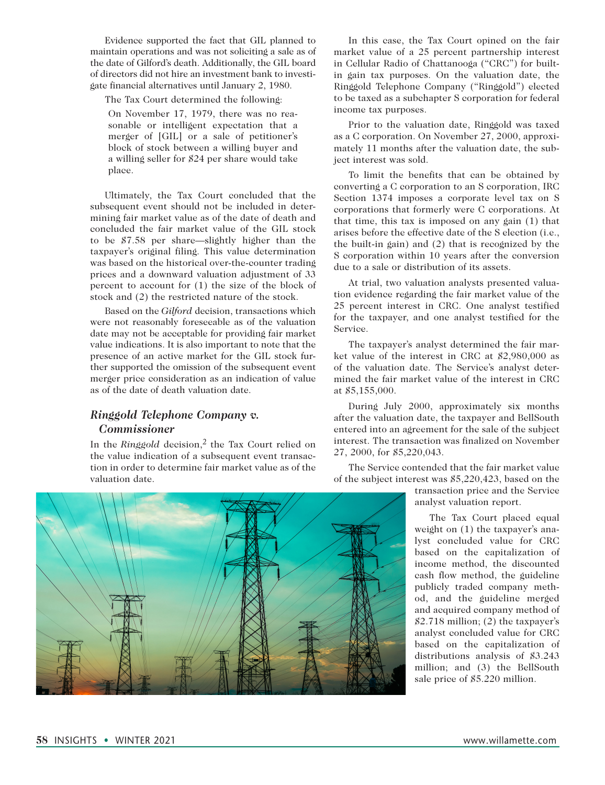Evidence supported the fact that GIL planned to maintain operations and was not soliciting a sale as of the date of Gilford's death. Additionally, the GIL board of directors did not hire an investment bank to investigate financial alternatives until January 2, 1980.

The Tax Court determined the following:

On November 17, 1979, there was no reasonable or intelligent expectation that a merger of [GIL] or a sale of petitioner's block of stock between a willing buyer and a willing seller for \$24 per share would take place.

Ultimately, the Tax Court concluded that the subsequent event should not be included in determining fair market value as of the date of death and concluded the fair market value of the GIL stock to be \$7.58 per share—slightly higher than the taxpayer's original filing. This value determination was based on the historical over-the-counter trading prices and a downward valuation adjustment of 33 percent to account for (1) the size of the block of stock and (2) the restricted nature of the stock.

Based on the *Gilford* decision, transactions which were not reasonably foreseeable as of the valuation date may not be acceptable for providing fair market value indications. It is also important to note that the presence of an active market for the GIL stock further supported the omission of the subsequent event merger price consideration as an indication of value as of the date of death valuation date.

#### *Ringgold Telephone Company v. Commissioner*

In the *Ringgold* decision,2 the Tax Court relied on the value indication of a subsequent event transaction in order to determine fair market value as of the valuation date.

In this case, the Tax Court opined on the fair market value of a 25 percent partnership interest in Cellular Radio of Chattanooga ("CRC") for builtin gain tax purposes. On the valuation date, the Ringgold Telephone Company ("Ringgold") elected to be taxed as a subchapter S corporation for federal income tax purposes.

Prior to the valuation date, Ringgold was taxed as a C corporation. On November 27, 2000, approximately 11 months after the valuation date, the subject interest was sold.

To limit the benefits that can be obtained by converting a C corporation to an S corporation, IRC Section 1374 imposes a corporate level tax on S corporations that formerly were C corporations. At that time, this tax is imposed on any gain (1) that arises before the effective date of the S election (i.e., the built-in gain) and (2) that is recognized by the S corporation within 10 years after the conversion due to a sale or distribution of its assets.

At trial, two valuation analysts presented valuation evidence regarding the fair market value of the 25 percent interest in CRC. One analyst testified for the taxpayer, and one analyst testified for the Service.

The taxpayer's analyst determined the fair market value of the interest in CRC at \$2,980,000 as of the valuation date. The Service's analyst determined the fair market value of the interest in CRC at \$5,155,000.

During July 2000, approximately six months after the valuation date, the taxpayer and BellSouth entered into an agreement for the sale of the subject interest. The transaction was finalized on November 27, 2000, for \$5,220,043.

The Service contended that the fair market value of the subject interest was \$5,220,423, based on the

> transaction price and the Service analyst valuation report.

The Tax Court placed equal weight on (1) the taxpayer's analyst concluded value for CRC based on the capitalization of income method, the discounted cash flow method, the guideline publicly traded company method, and the guideline merged and acquired company method of \$2.718 million; (2) the taxpayer's analyst concluded value for CRC based on the capitalization of distributions analysis of \$3.243 million; and (3) the BellSouth sale price of \$5.220 million.

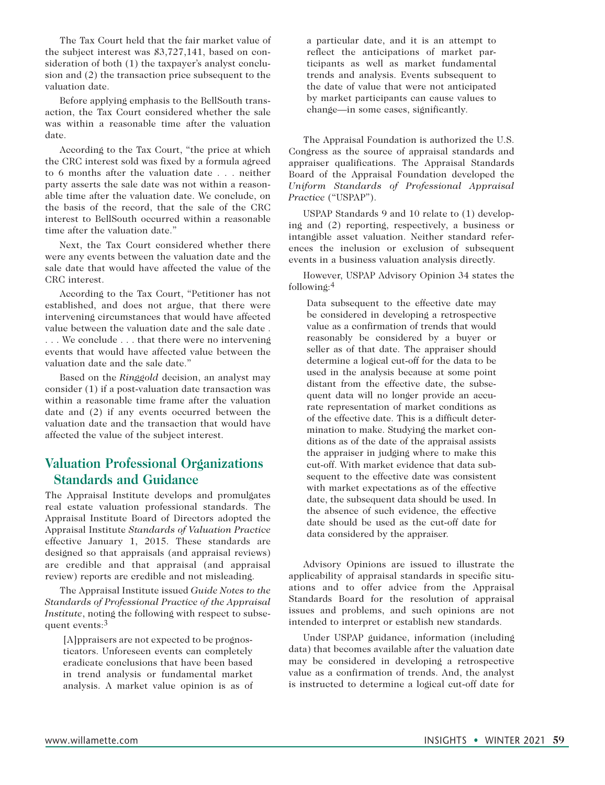The Tax Court held that the fair market value of the subject interest was \$3,727,141, based on consideration of both (1) the taxpayer's analyst conclusion and (2) the transaction price subsequent to the valuation date.

Before applying emphasis to the BellSouth transaction, the Tax Court considered whether the sale was within a reasonable time after the valuation date.

According to the Tax Court, "the price at which the CRC interest sold was fixed by a formula agreed to 6 months after the valuation date . . . neither party asserts the sale date was not within a reasonable time after the valuation date. We conclude, on the basis of the record, that the sale of the CRC interest to BellSouth occurred within a reasonable time after the valuation date."

Next, the Tax Court considered whether there were any events between the valuation date and the sale date that would have affected the value of the CRC interest.

According to the Tax Court, "Petitioner has not established, and does not argue, that there were intervening circumstances that would have affected value between the valuation date and the sale date . . . . We conclude . . . that there were no intervening events that would have affected value between the valuation date and the sale date."

Based on the *Ringgold* decision, an analyst may consider (1) if a post-valuation date transaction was within a reasonable time frame after the valuation date and (2) if any events occurred between the valuation date and the transaction that would have affected the value of the subject interest.

## **Valuation Professional Organizations Standards and Guidance**

The Appraisal Institute develops and promulgates real estate valuation professional standards. The Appraisal Institute Board of Directors adopted the Appraisal Institute *Standards of Valuation Practice* effective January 1, 2015. These standards are designed so that appraisals (and appraisal reviews) are credible and that appraisal (and appraisal review) reports are credible and not misleading.

The Appraisal Institute issued *Guide Notes to the Standards of Professional Practice of the Appraisal Institute*, noting the following with respect to subsequent events:3

[A]ppraisers are not expected to be prognosticators. Unforeseen events can completely eradicate conclusions that have been based in trend analysis or fundamental market analysis. A market value opinion is as of a particular date, and it is an attempt to reflect the anticipations of market participants as well as market fundamental trends and analysis. Events subsequent to the date of value that were not anticipated by market participants can cause values to change—in some cases, significantly.

The Appraisal Foundation is authorized the U.S. Congress as the source of appraisal standards and appraiser qualifications. The Appraisal Standards Board of the Appraisal Foundation developed the *Uniform Standards of Professional Appraisal Practice* ("USPAP").

USPAP Standards 9 and 10 relate to (1) developing and (2) reporting, respectively, a business or intangible asset valuation. Neither standard references the inclusion or exclusion of subsequent events in a business valuation analysis directly.

However, USPAP Advisory Opinion 34 states the following:4

Data subsequent to the effective date may be considered in developing a retrospective value as a confirmation of trends that would reasonably be considered by a buyer or seller as of that date. The appraiser should determine a logical cut-off for the data to be used in the analysis because at some point distant from the effective date, the subsequent data will no longer provide an accurate representation of market conditions as of the effective date. This is a difficult determination to make. Studying the market conditions as of the date of the appraisal assists the appraiser in judging where to make this cut-off. With market evidence that data subsequent to the effective date was consistent with market expectations as of the effective date, the subsequent data should be used. In the absence of such evidence, the effective date should be used as the cut-off date for data considered by the appraiser.

Advisory Opinions are issued to illustrate the applicability of appraisal standards in specific situations and to offer advice from the Appraisal Standards Board for the resolution of appraisal issues and problems, and such opinions are not intended to interpret or establish new standards.

Under USPAP guidance, information (including data) that becomes available after the valuation date may be considered in developing a retrospective value as a confirmation of trends. And, the analyst is instructed to determine a logical cut-off date for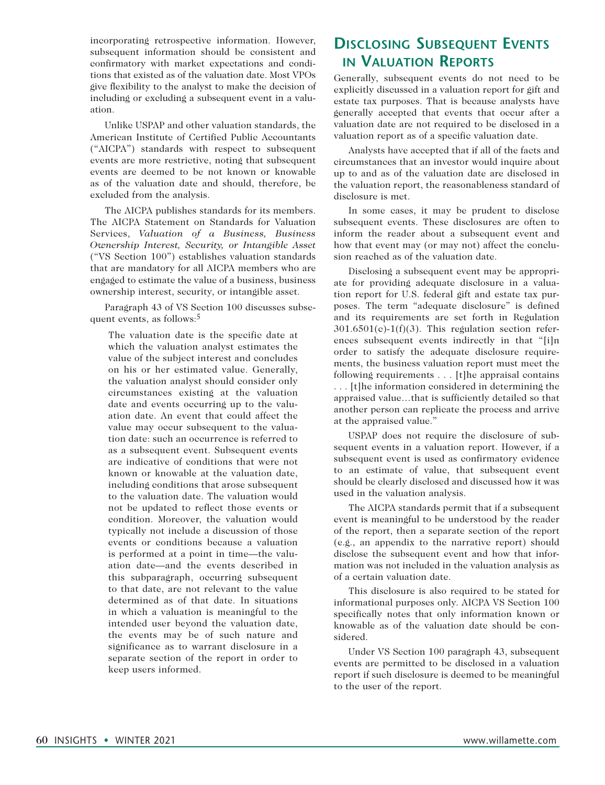incorporating retrospective information. However, subsequent information should be consistent and confirmatory with market expectations and conditions that existed as of the valuation date. Most VPOs give flexibility to the analyst to make the decision of including or excluding a subsequent event in a valuation.

Unlike USPAP and other valuation standards, the American Institute of Certified Public Accountants ("AICPA") standards with respect to subsequent events are more restrictive, noting that subsequent events are deemed to be not known or knowable as of the valuation date and should, therefore, be excluded from the analysis.

The AICPA publishes standards for its members. The AICPA Statement on Standards for Valuation Services, *Valuation of a Business, Business Ownership Interest, Security, or Intangible Asset*  ("VS Section 100") establishes valuation standards that are mandatory for all AICPA members who are engaged to estimate the value of a business, business ownership interest, security, or intangible asset.

Paragraph 43 of VS Section 100 discusses subsequent events, as follows:5

The valuation date is the specific date at which the valuation analyst estimates the value of the subject interest and concludes on his or her estimated value. Generally, the valuation analyst should consider only circumstances existing at the valuation date and events occurring up to the valuation date. An event that could affect the value may occur subsequent to the valuation date: such an occurrence is referred to as a subsequent event. Subsequent events are indicative of conditions that were not known or knowable at the valuation date, including conditions that arose subsequent to the valuation date. The valuation would not be updated to reflect those events or condition. Moreover, the valuation would typically not include a discussion of those events or conditions because a valuation is performed at a point in time—the valuation date—and the events described in this subparagraph, occurring subsequent to that date, are not relevant to the value determined as of that date. In situations in which a valuation is meaningful to the intended user beyond the valuation date, the events may be of such nature and significance as to warrant disclosure in a separate section of the report in order to keep users informed.

# **Disclosing Subsequent Events in Valuation Reports**

Generally, subsequent events do not need to be explicitly discussed in a valuation report for gift and estate tax purposes. That is because analysts have generally accepted that events that occur after a valuation date are not required to be disclosed in a valuation report as of a specific valuation date.

Analysts have accepted that if all of the facts and circumstances that an investor would inquire about up to and as of the valuation date are disclosed in the valuation report, the reasonableness standard of disclosure is met.

In some cases, it may be prudent to disclose subsequent events. These disclosures are often to inform the reader about a subsequent event and how that event may (or may not) affect the conclusion reached as of the valuation date.

Disclosing a subsequent event may be appropriate for providing adequate disclosure in a valuation report for U.S. federal gift and estate tax purposes. The term "adequate disclosure" is defined and its requirements are set forth in Regulation  $301.6501(c)-1(f)(3)$ . This regulation section references subsequent events indirectly in that "[i]n order to satisfy the adequate disclosure requirements, the business valuation report must meet the following requirements . . . [t]he appraisal contains . . . [t]he information considered in determining the appraised value…that is sufficiently detailed so that another person can replicate the process and arrive at the appraised value."

USPAP does not require the disclosure of subsequent events in a valuation report. However, if a subsequent event is used as confirmatory evidence to an estimate of value, that subsequent event should be clearly disclosed and discussed how it was used in the valuation analysis.

The AICPA standards permit that if a subsequent event is meaningful to be understood by the reader of the report, then a separate section of the report (e.g., an appendix to the narrative report) should disclose the subsequent event and how that information was not included in the valuation analysis as of a certain valuation date.

This disclosure is also required to be stated for informational purposes only. AICPA VS Section 100 specifically notes that only information known or knowable as of the valuation date should be considered.

Under VS Section 100 paragraph 43, subsequent events are permitted to be disclosed in a valuation report if such disclosure is deemed to be meaningful to the user of the report.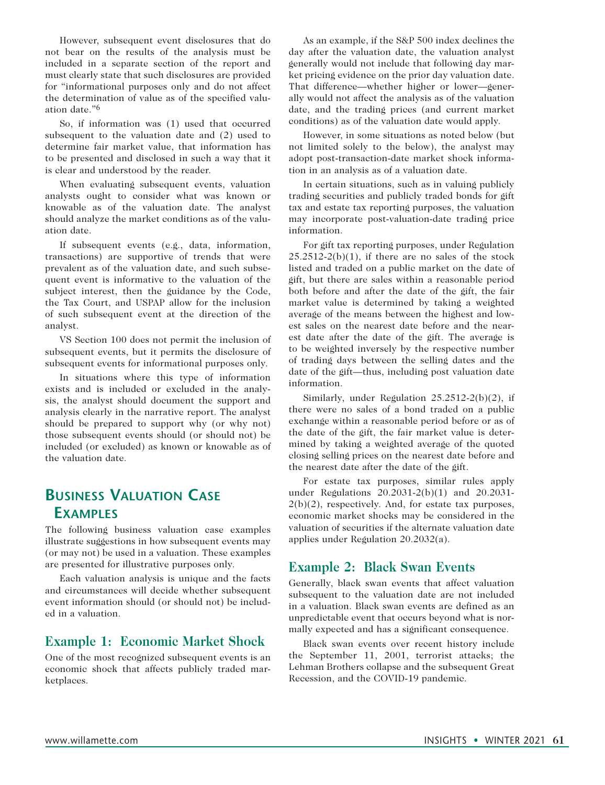However, subsequent event disclosures that do not bear on the results of the analysis must be included in a separate section of the report and must clearly state that such disclosures are provided for "informational purposes only and do not affect the determination of value as of the specified valuation date."6

So, if information was (1) used that occurred subsequent to the valuation date and (2) used to determine fair market value, that information has to be presented and disclosed in such a way that it is clear and understood by the reader.

When evaluating subsequent events, valuation analysts ought to consider what was known or knowable as of the valuation date. The analyst should analyze the market conditions as of the valuation date.

If subsequent events (e.g., data, information, transactions) are supportive of trends that were prevalent as of the valuation date, and such subsequent event is informative to the valuation of the subject interest, then the guidance by the Code, the Tax Court, and USPAP allow for the inclusion of such subsequent event at the direction of the analyst.

VS Section 100 does not permit the inclusion of subsequent events, but it permits the disclosure of subsequent events for informational purposes only.

In situations where this type of information exists and is included or excluded in the analysis, the analyst should document the support and analysis clearly in the narrative report. The analyst should be prepared to support why (or why not) those subsequent events should (or should not) be included (or excluded) as known or knowable as of the valuation date.

# **Business Valuation Case Examples**

The following business valuation case examples illustrate suggestions in how subsequent events may (or may not) be used in a valuation. These examples are presented for illustrative purposes only.

Each valuation analysis is unique and the facts and circumstances will decide whether subsequent event information should (or should not) be included in a valuation.

### **Example 1: Economic Market Shock**

One of the most recognized subsequent events is an economic shock that affects publicly traded marketplaces.

As an example, if the S&P 500 index declines the day after the valuation date, the valuation analyst generally would not include that following day market pricing evidence on the prior day valuation date. That difference—whether higher or lower—generally would not affect the analysis as of the valuation date, and the trading prices (and current market conditions) as of the valuation date would apply.

However, in some situations as noted below (but not limited solely to the below), the analyst may adopt post-transaction-date market shock information in an analysis as of a valuation date.

In certain situations, such as in valuing publicly trading securities and publicly traded bonds for gift tax and estate tax reporting purposes, the valuation may incorporate post-valuation-date trading price information.

For gift tax reporting purposes, under Regulation  $25.2512-2(b)(1)$ , if there are no sales of the stock listed and traded on a public market on the date of gift, but there are sales within a reasonable period both before and after the date of the gift, the fair market value is determined by taking a weighted average of the means between the highest and lowest sales on the nearest date before and the nearest date after the date of the gift. The average is to be weighted inversely by the respective number of trading days between the selling dates and the date of the gift—thus, including post valuation date information.

Similarly, under Regulation 25.2512-2(b)(2), if there were no sales of a bond traded on a public exchange within a reasonable period before or as of the date of the gift, the fair market value is determined by taking a weighted average of the quoted closing selling prices on the nearest date before and the nearest date after the date of the gift.

For estate tax purposes, similar rules apply under Regulations 20.2031-2(b)(1) and 20.2031-  $2(b)(2)$ , respectively. And, for estate tax purposes, economic market shocks may be considered in the valuation of securities if the alternate valuation date applies under Regulation 20.2032(a).

### **Example 2: Black Swan Events**

Generally, black swan events that affect valuation subsequent to the valuation date are not included in a valuation. Black swan events are defined as an unpredictable event that occurs beyond what is normally expected and has a significant consequence.

Black swan events over recent history include the September 11, 2001, terrorist attacks; the Lehman Brothers collapse and the subsequent Great Recession, and the COVID-19 pandemic.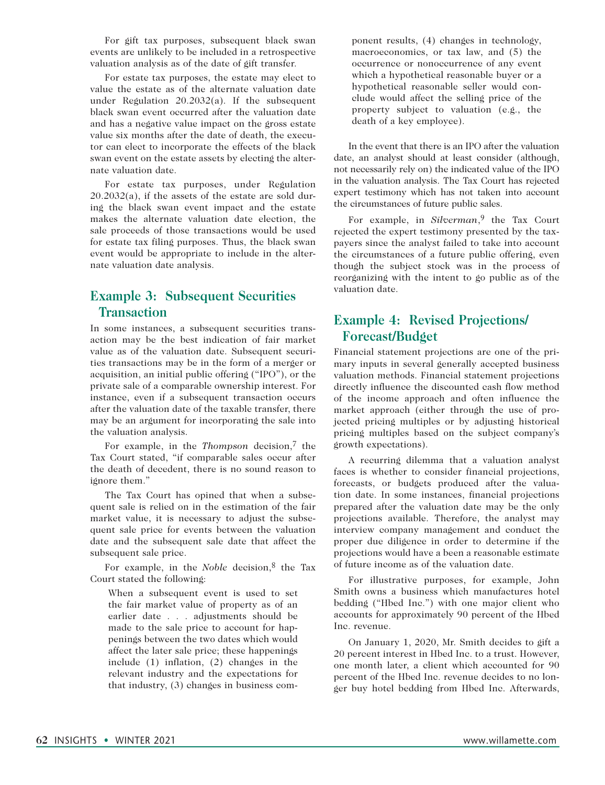For gift tax purposes, subsequent black swan events are unlikely to be included in a retrospective valuation analysis as of the date of gift transfer.

For estate tax purposes, the estate may elect to value the estate as of the alternate valuation date under Regulation 20.2032(a). If the subsequent black swan event occurred after the valuation date and has a negative value impact on the gross estate value six months after the date of death, the executor can elect to incorporate the effects of the black swan event on the estate assets by electing the alternate valuation date.

For estate tax purposes, under Regulation  $20.2032(a)$ , if the assets of the estate are sold during the black swan event impact and the estate makes the alternate valuation date election, the sale proceeds of those transactions would be used for estate tax filing purposes. Thus, the black swan event would be appropriate to include in the alternate valuation date analysis.

## **Example 3: Subsequent Securities Transaction**

In some instances, a subsequent securities transaction may be the best indication of fair market value as of the valuation date. Subsequent securities transactions may be in the form of a merger or acquisition, an initial public offering ("IPO"), or the private sale of a comparable ownership interest. For instance, even if a subsequent transaction occurs after the valuation date of the taxable transfer, there may be an argument for incorporating the sale into the valuation analysis.

For example, in the *Thompson* decision,7 the Tax Court stated, "if comparable sales occur after the death of decedent, there is no sound reason to ignore them."

The Tax Court has opined that when a subsequent sale is relied on in the estimation of the fair market value, it is necessary to adjust the subsequent sale price for events between the valuation date and the subsequent sale date that affect the subsequent sale price.

For example, in the *Noble* decision,<sup>8</sup> the Tax Court stated the following:

When a subsequent event is used to set the fair market value of property as of an earlier date . . . adjustments should be made to the sale price to account for happenings between the two dates which would affect the later sale price; these happenings include (1) inflation, (2) changes in the relevant industry and the expectations for that industry, (3) changes in business com-

ponent results, (4) changes in technology, macroeconomics, or tax law, and (5) the occurrence or nonoccurrence of any event which a hypothetical reasonable buyer or a hypothetical reasonable seller would conclude would affect the selling price of the property subject to valuation (e.g., the death of a key employee).

In the event that there is an IPO after the valuation date, an analyst should at least consider (although, not necessarily rely on) the indicated value of the IPO in the valuation analysis. The Tax Court has rejected expert testimony which has not taken into account the circumstances of future public sales.

For example, in *Silverman*,<sup>9</sup> the Tax Court rejected the expert testimony presented by the taxpayers since the analyst failed to take into account the circumstances of a future public offering, even though the subject stock was in the process of reorganizing with the intent to go public as of the valuation date.

## **Example 4: Revised Projections/ Forecast/Budget**

Financial statement projections are one of the primary inputs in several generally accepted business valuation methods. Financial statement projections directly influence the discounted cash flow method of the income approach and often influence the market approach (either through the use of projected pricing multiples or by adjusting historical pricing multiples based on the subject company's growth expectations).

A recurring dilemma that a valuation analyst faces is whether to consider financial projections, forecasts, or budgets produced after the valuation date. In some instances, financial projections prepared after the valuation date may be the only projections available. Therefore, the analyst may interview company management and conduct the proper due diligence in order to determine if the projections would have a been a reasonable estimate of future income as of the valuation date.

For illustrative purposes, for example, John Smith owns a business which manufactures hotel bedding ("Hbed Inc.") with one major client who accounts for approximately 90 percent of the Hbed Inc. revenue.

On January 1, 2020, Mr. Smith decides to gift a 20 percent interest in Hbed Inc. to a trust. However, one month later, a client which accounted for 90 percent of the Hbed Inc. revenue decides to no longer buy hotel bedding from Hbed Inc. Afterwards,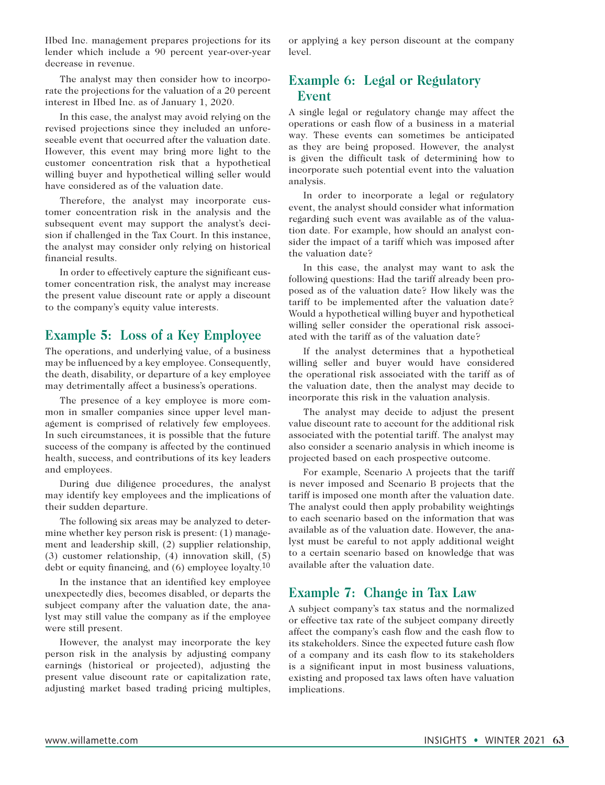Hbed Inc. management prepares projections for its lender which include a 90 percent year-over-year decrease in revenue.

The analyst may then consider how to incorporate the projections for the valuation of a 20 percent interest in Hbed Inc. as of January 1, 2020.

In this case, the analyst may avoid relying on the revised projections since they included an unforeseeable event that occurred after the valuation date. However, this event may bring more light to the customer concentration risk that a hypothetical willing buyer and hypothetical willing seller would have considered as of the valuation date.

Therefore, the analyst may incorporate customer concentration risk in the analysis and the subsequent event may support the analyst's decision if challenged in the Tax Court. In this instance, the analyst may consider only relying on historical financial results.

In order to effectively capture the significant customer concentration risk, the analyst may increase the present value discount rate or apply a discount to the company's equity value interests.

### **Example 5: Loss of a Key Employee**

The operations, and underlying value, of a business may be influenced by a key employee. Consequently, the death, disability, or departure of a key employee may detrimentally affect a business's operations.

The presence of a key employee is more common in smaller companies since upper level management is comprised of relatively few employees. In such circumstances, it is possible that the future success of the company is affected by the continued health, success, and contributions of its key leaders and employees.

During due diligence procedures, the analyst may identify key employees and the implications of their sudden departure.

The following six areas may be analyzed to determine whether key person risk is present: (1) management and leadership skill, (2) supplier relationship, (3) customer relationship, (4) innovation skill, (5) debt or equity financing, and (6) employee loyalty.10

In the instance that an identified key employee unexpectedly dies, becomes disabled, or departs the subject company after the valuation date, the analyst may still value the company as if the employee were still present.

However, the analyst may incorporate the key person risk in the analysis by adjusting company earnings (historical or projected), adjusting the present value discount rate or capitalization rate, adjusting market based trading pricing multiples, or applying a key person discount at the company level.

## **Example 6: Legal or Regulatory Event**

A single legal or regulatory change may affect the operations or cash flow of a business in a material way. These events can sometimes be anticipated as they are being proposed. However, the analyst is given the difficult task of determining how to incorporate such potential event into the valuation analysis.

In order to incorporate a legal or regulatory event, the analyst should consider what information regarding such event was available as of the valuation date. For example, how should an analyst consider the impact of a tariff which was imposed after the valuation date?

In this case, the analyst may want to ask the following questions: Had the tariff already been proposed as of the valuation date? How likely was the tariff to be implemented after the valuation date? Would a hypothetical willing buyer and hypothetical willing seller consider the operational risk associated with the tariff as of the valuation date?

If the analyst determines that a hypothetical willing seller and buyer would have considered the operational risk associated with the tariff as of the valuation date, then the analyst may decide to incorporate this risk in the valuation analysis.

The analyst may decide to adjust the present value discount rate to account for the additional risk associated with the potential tariff. The analyst may also consider a scenario analysis in which income is projected based on each prospective outcome.

For example, Scenario A projects that the tariff is never imposed and Scenario B projects that the tariff is imposed one month after the valuation date. The analyst could then apply probability weightings to each scenario based on the information that was available as of the valuation date. However, the analyst must be careful to not apply additional weight to a certain scenario based on knowledge that was available after the valuation date.

### **Example 7: Change in Tax Law**

A subject company's tax status and the normalized or effective tax rate of the subject company directly affect the company's cash flow and the cash flow to its stakeholders. Since the expected future cash flow of a company and its cash flow to its stakeholders is a significant input in most business valuations, existing and proposed tax laws often have valuation implications.